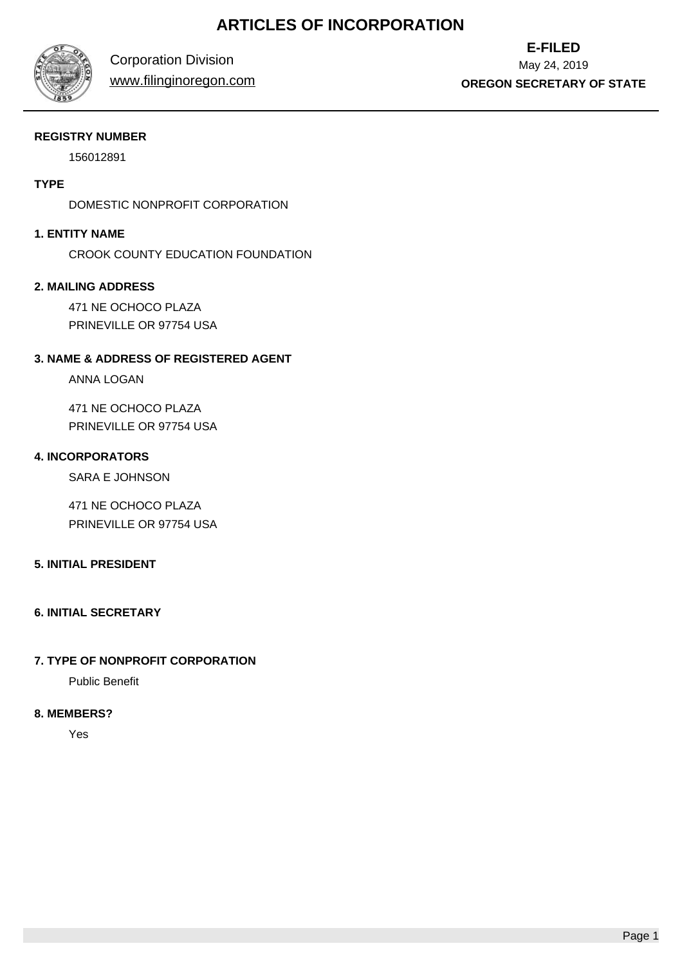# **ARTICLES OF INCORPORATION**



Corporation Division

www.filinginoregon.com

**E-FILED** May 24, 2019 **OREGON SECRETARY OF STATE**

## **REGISTRY NUMBER**

156012891

# **TYPE**

DOMESTIC NONPROFIT CORPORATION

# **1. ENTITY NAME**

CROOK COUNTY EDUCATION FOUNDATION

## **2. MAILING ADDRESS**

471 NE OCHOCO PLAZA PRINEVILLE OR 97754 USA

# **3. NAME & ADDRESS OF REGISTERED AGENT**

ANNA LOGAN

471 NE OCHOCO PLAZA PRINEVILLE OR 97754 USA

## **4. INCORPORATORS**

SARA E JOHNSON

471 NE OCHOCO PLAZA PRINEVILLE OR 97754 USA

## **5. INITIAL PRESIDENT**

## **6. INITIAL SECRETARY**

# **7. TYPE OF NONPROFIT CORPORATION**

Public Benefit

# **8. MEMBERS?**

Yes